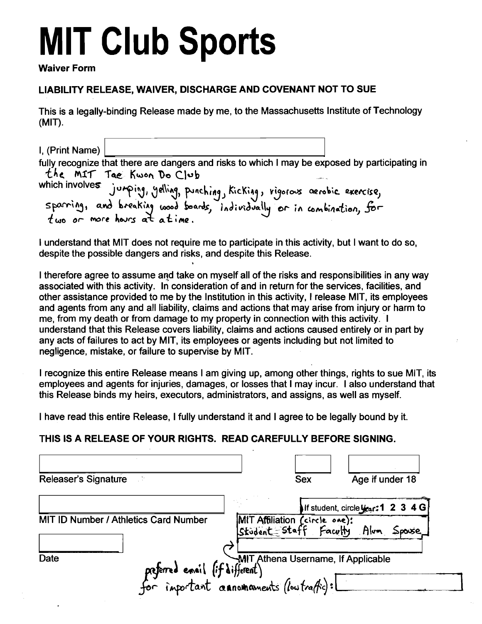# **MIT Club Sports**

#### **Waiver Form**

### **LIABILITY RELEASE, WAIVER, DISCHARGE AND COVENANT NOT TO SUE**

This is a legally-binding Release made by me, to the Massachusetts Institute of Technology  $(MIT)$ .

I. (Print Name) fully recognize that there are dangers and risks to which I may be exposed by participating in the MIT Tae Kwon Do Club thich involves jumping, yelling, punching, kicking, vigorous aerobic exercise,<br>sparring, and breaking wood boards, individually or in combination, for which involves

I understand that MIT does not require me to participate in this activity, but I want to do so, despite the possible dangers and risks, and despite this Release.

I therefore agree to assume and take on myself all of the risks and responsibilities in any way associated with this activity. In consideration of and in return for the services, facilities, and other assistance provided to me by the Institution in this activity. I release MIT, its employees and agents from any and all liability, claims and actions that may arise from injury or harm to me, from my death or from damage to my property in connection with this activity. I understand that this Release covers liability, claims and actions caused entirely or in part by any acts of failures to act by MIT, its employees or agents including but not limited to negligence, mistake, or failure to supervise by MIT.

I recognize this entire Release means I am giving up, among other things, rights to sue MIT, its employees and agents for injuries, damages, or losses that I may incur. I also understand that this Release binds my heirs, executors, administrators, and assigns, as well as myself.

I have read this entire Release, I fully understand it and I agree to be legally bound by it.

#### THIS IS A RELEASE OF YOUR RIGHTS. READ CAREFULLY BEFORE SIGNING.

| Releaser's Signature<br>- 17                                                       | Sex | Age if under 18                                                    |
|------------------------------------------------------------------------------------|-----|--------------------------------------------------------------------|
|                                                                                    |     | If student, circle year: 1 2 3 4 G                                 |
| MIT ID Number / Athletics Card Number                                              |     | MIT Affiliation (circle one):<br>Student Staff Faculty Alum Spowse |
| preferred ensil (if different)<br>for important connomments (low traffic):<br>Date |     |                                                                    |